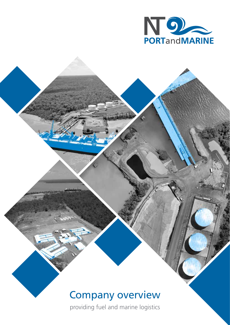

# Company overview

providing fuel and marine logistics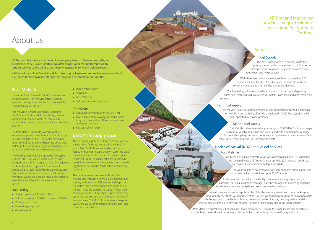NT Port and Marine is a marine services company based in Darwin, Australia, and a subsidiary of AusGroup Limited. We offer logistics and marine transportation support services to the oil and gas industry, general marine and defence sectors.

With locations at Port Melville and East Arm Supply Base, we can provide marine and land fuel, areas for laydown and storage, berthage and accommodation facilities.

# Port Melville

Located at South Barlow Point, 63 nautical miles north of Darwin, Port Melville offers a security regulated port approved by the Commonwealth Government of Australia.

Port Melville is a multi-user facility supporting the Northern Territory oil & gas industry, marine transport industry and local Tiwi community through the provision of a port facility and ancillary services.

The Port Melville fuel facility consists of three vertical storage tanks with the capacity to hold up to 30 million litres of fuel. The facility also has a motor control centre room, dispensing pump skid, metering skid, waste water system, slops tank, fire protection and a light vehicle refueling system.

The wharf at Port Melville is approved for vessels up to 50,000 DWT with a water depth of 14m alongside and a 220m long dock face. Our adjacent on-shore facilities comprise a 10 hectares of cleared area suitable for; laydown, warehouse and appropriate industrial development, fuel storage, workshop, woodchip stockpile area, office facilities, wash-down facilities and container inspection facilities.

#### Fuel Facility

- Storage capacity of 30 million litres
- Offloading rate of 13,000l / minute at 1000kPa
- Motor control room
- Dispensing pump skid
- Mettering skid
- Waste water system
- Slops tank
- Fire protection
- Light vehicle refuelling system

#### The Wharf

- Approved for vessels up to 50,000 DWT
- Water depth of 14m alongside and a 220m long dock free with a 110m concrete shore connection pontoon
- Roll-on / roll-off ramp.

# East Arm Supply Base

The East Arm Supply Base, located at East Arm in the Northern Territory, was established in 2011 as a roll-on / roll-off marine loading and wharf facility with a four hectare laydown yard. The base is ideally located and equipped to expand upon its current usage, to service offshore oil and gas operations, general marine operations and provide logistical services to the construction and mining industries.

The base serves as the mainland link to Port Melville and includes a newly built steel sheet pile slipway with a width of 53 metres and depth of 85 metres. With a maximum water depth of six metres, it has the capacity to support heavy load facilities of up to 200mt. There is berth space for up to four vessels, approximately four hectares of laydown area, 2,500m<sup>2</sup> of undercover storage and workshop space, office space and fabrication and repair shop capabilities.

# About us

# Fuel Supply

The port is designated as a security controlled port by the Australian government and is licensed as a storage facility for goods, subject to customs control (petroleum and like products).

With three vertical storage tanks, each with a capacity of 10 million litres, fuel facility is fully Australian Taxation Office (ATO) compliant and able to offer bonded and unbonded fuel.

The fuel facility is fully equipped with a motor control room, dispensing pump skid, metering skid, waste control system, slops tank and a fire protection system.

#### Land fuel supply

Port Melville is able to supply communities and commercial/industrial operations on Melville Island with diesel fuel via a dedicated 17,000 litre capacity tanker truck, operated by trained personnel.

Marine fuel supply Port Melville is able to refuel any vessel up to 50,000 DWT with marine gas oil/diesel at variable rates. The port is equipped with a comprehensive range of hose and coupling sizes to accommodate all requirements. We are also able to refuel vessels requiring small volumes/low flow rates.

# Notice of Arrival (NOA) and Vessel Services

#### Port Melville

Port Melville's floating concrete wharf was commissioned in 2013. Situated in the sheltered waters of Apsley Strait, it provides 220 metres of berth face and has a 14 metre minimum depth alongside.

The wharf is able to accommodate offshore support vessels, barges and handy-sized tankers and bulkers up to 50,000 tonnes.

Aside from the main wharf, the facility comprises a landing barge ramp, a common user area, a container storage, bulk fuel storage and bunkering capability as well as a woodchip stockpile and associated loading systems.

A berth reservation system applies at Port Melville, enabling vessels with prior bookings to have priority over those without reservations. Vessels without bookings may be allowed to berth with the approval of the Harbour Master, generally in order of arrival, pending berth availability. Priority may be granted to any type of vessel in cases of emergency and in the public interest.

Port Melville is operational 24 hours a day, seven days a week. Pilotage to / from anchor and departures from berth will be conducted day or night. Arrivals to berth will only be conducted in daylight hours.

# NT Port and Marine can provide a range of solutions for clients in the Northern Territory.

# **Services**